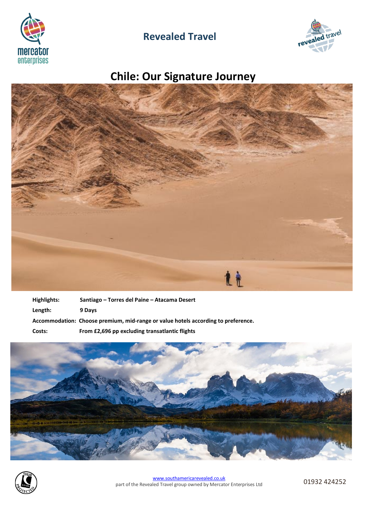

## **Revealed Travel**



# **Chile: Our Signature Journey**



| Highlights: | Santiago – Torres del Paine – Atacama Desert                                      |
|-------------|-----------------------------------------------------------------------------------|
| Length:     | 9 Days                                                                            |
|             | Accommodation: Choose premium, mid-range or value hotels according to preference. |
| Costs:      | From £2,696 pp excluding transatlantic flights                                    |



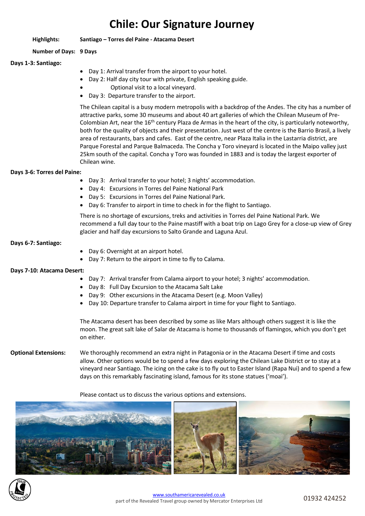## **Chile: Our Signature Journey**

## **Highlights: Santiago – Torres del Paine - Atacama Desert**

## **Number of Days: 9 Days**

## **Days 1-3: Santiago:**

- Day 1: Arrival transfer from the airport to your hotel.
- Day 2: Half day city tour with private, English speaking guide.
- Optional visit to a local vineyard.
- Day 3: Departure transfer to the airport.

The Chilean capital is a busy modern metropolis with a backdrop of the Andes. The city has a number of attractive parks, some 30 museums and about 40 art galleries of which the Chilean Museum of Pre-Colombian Art, near the 16<sup>th</sup> century Plaza de Armas in the heart of the city, is particularly noteworthy, both for the quality of objects and their presentation. Just west of the centre is the Barrio Brasil, a lively area of restaurants, bars and cafes. East of the centre, near Plaza Italia in the Lastarria district, are Parque Forestal and Parque Balmaceda. The Concha y Toro vineyard is located in the Maipo valley just 25km south of the capital. Concha y Toro was founded in 1883 and is today the largest exporter of Chilean wine.

## **Days 3-6: Torres del Paine:**

- Day 3: Arrival transfer to your hotel; 3 nights' accommodation.
- Day 4: Excursions in Torres del Paine National Park
- Day 5: Excursions in Torres del Paine National Park.
- Day 6: Transfer to airport in time to check in for the flight to Santiago.

There is no shortage of excursions, treks and activities in Torres del Paine National Park. We recommend a full day tour to the Paine mastiff with a boat trip on Lago Grey for a close-up view of Grey glacier and half day excursions to Salto Grande and Laguna Azul.

## **Days 6-7: Santiago:**

- Day 6: Overnight at an airport hotel.
- Day 7: Return to the airport in time to fly to Calama.

## **Days 7-10: Atacama Desert:**

- Day 7: Arrival transfer from Calama airport to your hotel; 3 nights' accommodation.
- Day 8: Full Day Excursion to the Atacama Salt Lake
- Day 9: Other excursions in the Atacama Desert (e.g. Moon Valley)
- Day 10: Departure transfer to Calama airport in time for your flight to Santiago.

The Atacama desert has been described by some as like Mars although others suggest it is like the moon. The great salt lake of Salar de Atacama is home to thousands of flamingos, which you don't get on either.

**Optional Extensions:** We thoroughly recommend an extra night in Patagonia or in the Atacama Desert if time and costs allow. Other options would be to spend a few days exploring the Chilean Lake District or to stay at a vineyard near Santiago. The icing on the cake is to fly out to Easter Island (Rapa Nui) and to spend a few days on this remarkably fascinating island, famous for its stone statues ('moai').

## Please contact us to discuss the various options and extensions.